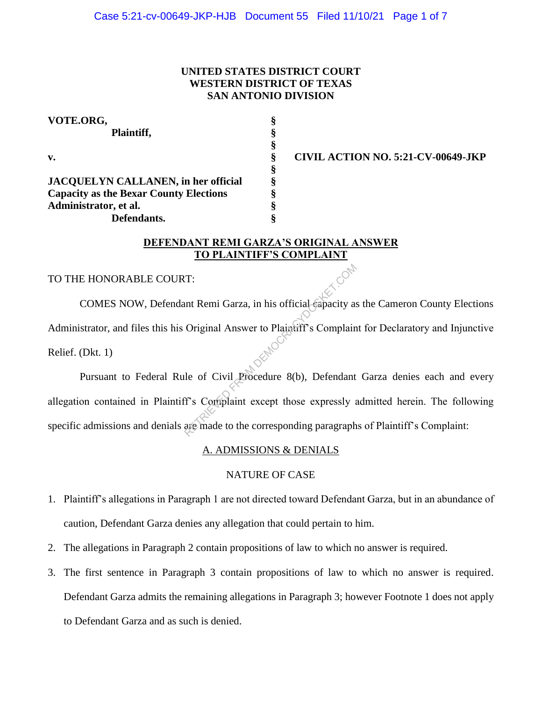# **UNITED STATES DISTRICT COURT WESTERN DISTRICT OF TEXAS SAN ANTONIO DIVISION**

| VOTE.ORG,                                     | §      |
|-----------------------------------------------|--------|
| Plaintiff,                                    | §<br>§ |
|                                               |        |
| §                                             |        |
| <b>JACQUELYN CALLANEN, in her official</b>    | §      |
| <b>Capacity as the Bexar County Elections</b> | §      |
| Administrator, et al.                         | §      |
| Defendants.                                   |        |

**v. § CIVIL ACTION NO. 5:21-CV-00649-JKP**

# **DEFENDANT REMI GARZA'S ORIGINAL ANSWER TO PLAINTIFF'S COMPLAINT**

# TO THE HONORABLE COURT:

COMES NOW, Defendant Remi Garza, in his official capacity as the Cameron County Elections Administrator, and files this his Original Answer to Plaintiff's Complaint for Declaratory and Injunctive Relief. (Dkt. 1) T:<br>
unt Remi Garza, in his official capacity as<br>
Original Answer to Plaintiff's Complain<br>
le of Civil Procedure 8(b), Defendant<br>
f's Complaint except those expressly as<br>
are made to the corresponding paragraph

Pursuant to Federal Rule of Civil Procedure 8(b), Defendant Garza denies each and every allegation contained in Plaintiff's Complaint except those expressly admitted herein. The following specific admissions and denials are made to the corresponding paragraphs of Plaintiff's Complaint:

#### A. ADMISSIONS & DENIALS

# NATURE OF CASE

- 1. Plaintiff's allegations in Paragraph 1 are not directed toward Defendant Garza, but in an abundance of caution, Defendant Garza denies any allegation that could pertain to him.
- 2. The allegations in Paragraph 2 contain propositions of law to which no answer is required.
- 3. The first sentence in Paragraph 3 contain propositions of law to which no answer is required. Defendant Garza admits the remaining allegations in Paragraph 3; however Footnote 1 does not apply to Defendant Garza and as such is denied.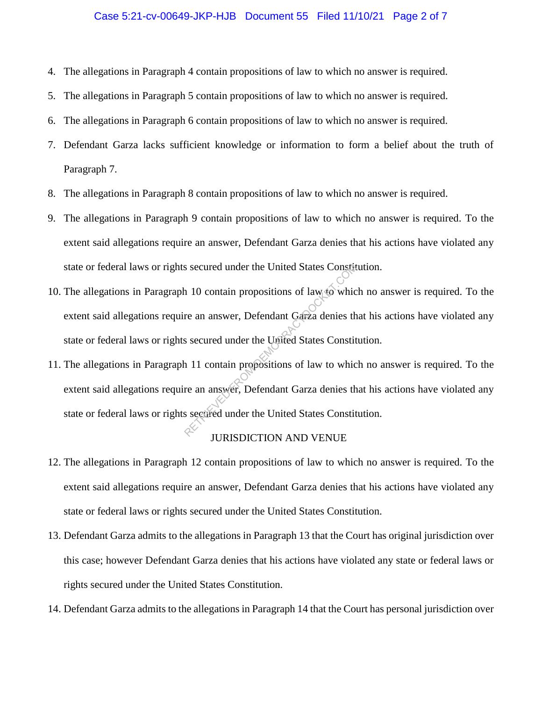#### Case 5:21-cv-00649-JKP-HJB Document 55 Filed 11/10/21 Page 2 of 7

- 4. The allegations in Paragraph 4 contain propositions of law to which no answer is required.
- 5. The allegations in Paragraph 5 contain propositions of law to which no answer is required.
- 6. The allegations in Paragraph 6 contain propositions of law to which no answer is required.
- 7. Defendant Garza lacks sufficient knowledge or information to form a belief about the truth of Paragraph 7.
- 8. The allegations in Paragraph 8 contain propositions of law to which no answer is required.
- 9. The allegations in Paragraph 9 contain propositions of law to which no answer is required. To the extent said allegations require an answer, Defendant Garza denies that his actions have violated any state or federal laws or rights secured under the United States Constitution.
- 10. The allegations in Paragraph 10 contain propositions of law to which no answer is required. To the extent said allegations require an answer, Defendant Garza denies that his actions have violated any state or federal laws or rights secured under the United States Constitution. S secured under the United States Constit<br>
1 10 contain propositions of law to which<br>
re an answer, Defendant Garza denies th<br>
s secured under the United States Constit<br>
re an answer, Defendant Garza denies th<br>
s secured u
- 11. The allegations in Paragraph 11 contain propositions of law to which no answer is required. To the extent said allegations require an answer, Defendant Garza denies that his actions have violated any state or federal laws or rights secured under the United States Constitution.

# JURISDICTION AND VENUE

- 12. The allegations in Paragraph 12 contain propositions of law to which no answer is required. To the extent said allegations require an answer, Defendant Garza denies that his actions have violated any state or federal laws or rights secured under the United States Constitution.
- 13. Defendant Garza admits to the allegations in Paragraph 13 that the Court has original jurisdiction over this case; however Defendant Garza denies that his actions have violated any state or federal laws or rights secured under the United States Constitution.
- 14. Defendant Garza admits to the allegations in Paragraph 14 that the Court has personal jurisdiction over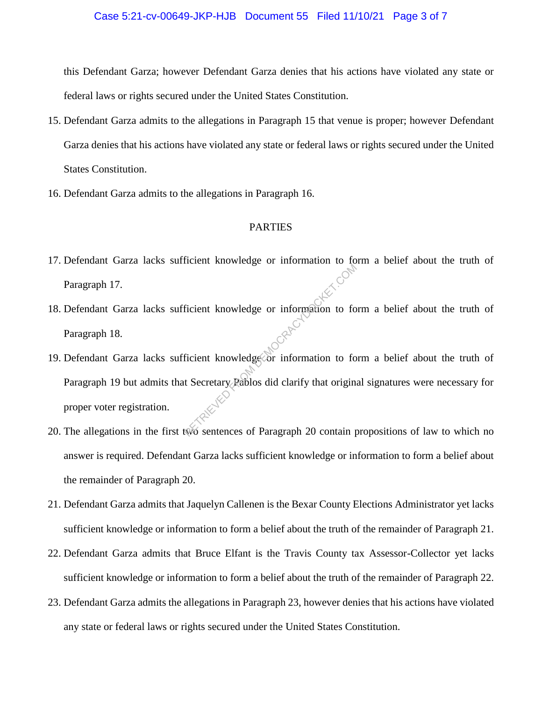this Defendant Garza; however Defendant Garza denies that his actions have violated any state or federal laws or rights secured under the United States Constitution.

- 15. Defendant Garza admits to the allegations in Paragraph 15 that venue is proper; however Defendant Garza denies that his actions have violated any state or federal laws or rights secured under the United States Constitution.
- 16. Defendant Garza admits to the allegations in Paragraph 16.

### PARTIES

- 17. Defendant Garza lacks sufficient knowledge or information to form a belief about the truth of Paragraph 17.
- 18. Defendant Garza lacks sufficient knowledge or information to form a belief about the truth of Paragraph 18.
- 19. Defendant Garza lacks sufficient knowledge or information to form a belief about the truth of Paragraph 19 but admits that Secretary Pablos did clarify that original signatures were necessary for proper voter registration. From the words of the material compation to form the material of the material contract of the Secretary Pablos did clarify that origin.
- 20. The allegations in the first two sentences of Paragraph 20 contain propositions of law to which no answer is required. Defendant Garza lacks sufficient knowledge or information to form a belief about the remainder of Paragraph 20.
- 21. Defendant Garza admits that Jaquelyn Callenen is the Bexar County Elections Administrator yet lacks sufficient knowledge or information to form a belief about the truth of the remainder of Paragraph 21.
- 22. Defendant Garza admits that Bruce Elfant is the Travis County tax Assessor-Collector yet lacks sufficient knowledge or information to form a belief about the truth of the remainder of Paragraph 22.
- 23. Defendant Garza admits the allegations in Paragraph 23, however denies that his actions have violated any state or federal laws or rights secured under the United States Constitution.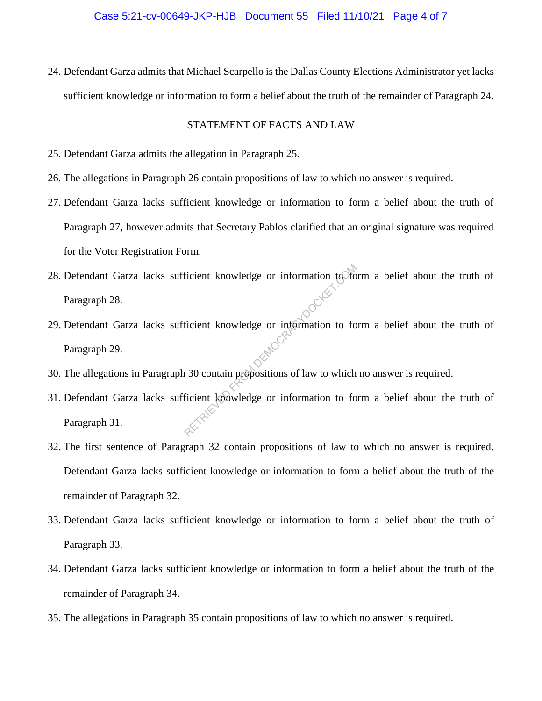24. Defendant Garza admits that Michael Scarpello is the Dallas County Elections Administrator yet lacks sufficient knowledge or information to form a belief about the truth of the remainder of Paragraph 24.

#### STATEMENT OF FACTS AND LAW

- 25. Defendant Garza admits the allegation in Paragraph 25.
- 26. The allegations in Paragraph 26 contain propositions of law to which no answer is required.
- 27. Defendant Garza lacks sufficient knowledge or information to form a belief about the truth of Paragraph 27, however admits that Secretary Pablos clarified that an original signature was required for the Voter Registration Form.
- 28. Defendant Garza lacks sufficient knowledge or information to form a belief about the truth of Paragraph 28. Ficient knowledge or information to formation to formation to formation to formation to formation of law to which ficient knowledge or information to formation to formation to formation to formation to formation to formati
- 29. Defendant Garza lacks sufficient knowledge or information to form a belief about the truth of Paragraph 29.
- 30. The allegations in Paragraph 30 contain propositions of law to which no answer is required.
- 31. Defendant Garza lacks sufficient knowledge or information to form a belief about the truth of Paragraph 31.
- 32. The first sentence of Paragraph 32 contain propositions of law to which no answer is required. Defendant Garza lacks sufficient knowledge or information to form a belief about the truth of the remainder of Paragraph 32.
- 33. Defendant Garza lacks sufficient knowledge or information to form a belief about the truth of Paragraph 33.
- 34. Defendant Garza lacks sufficient knowledge or information to form a belief about the truth of the remainder of Paragraph 34.
- 35. The allegations in Paragraph 35 contain propositions of law to which no answer is required.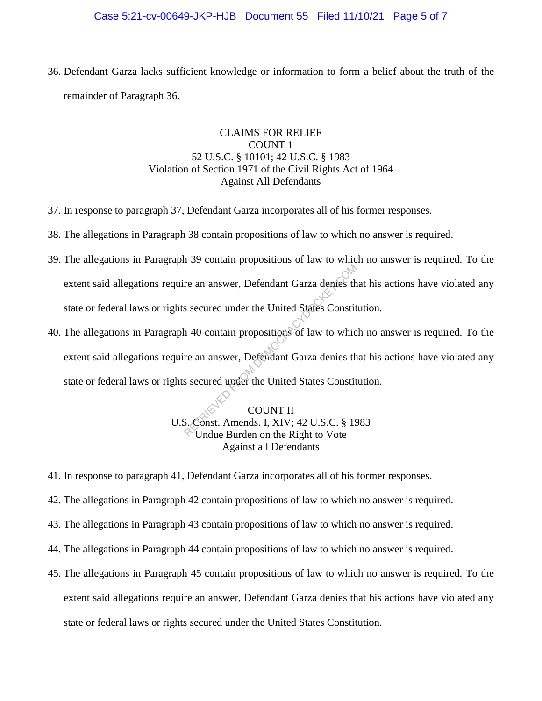## Case 5:21-cv-00649-JKP-HJB Document 55 Filed 11/10/21 Page 5 of 7

36. Defendant Garza lacks sufficient knowledge or information to form a belief about the truth of the remainder of Paragraph 36.

# CLAIMS FOR RELIEF COUNT 1 52 U.S.C. § 10101; 42 U.S.C. § 1983 Violation of Section 1971 of the Civil Rights Act of 1964 Against All Defendants

- 37. In response to paragraph 37, Defendant Garza incorporates all of his former responses.
- 38. The allegations in Paragraph 38 contain propositions of law to which no answer is required.
- 39. The allegations in Paragraph 39 contain propositions of law to which no answer is required. To the extent said allegations require an answer, Defendant Garza denies that his actions have violated any state or federal laws or rights secured under the United States Constitution.
- 40. The allegations in Paragraph 40 contain propositions of law to which no answer is required. To the extent said allegations require an answer, Defendant Garza denies that his actions have violated any state or federal laws or rights secured under the United States Constitution. re an answer, Defendant Garza denies the<br>s secured under the United States Constit<br>1 40 contain propositions of law to which<br>re an answer, Defendant Garza denies the<br>s secured under the United States Constit<br>S secured unde

COUNT II U.S. Const. Amends. I, XIV; 42 U.S.C. § 1983 Undue Burden on the Right to Vote Against all Defendants

- 41. In response to paragraph 41, Defendant Garza incorporates all of his former responses.
- 42. The allegations in Paragraph 42 contain propositions of law to which no answer is required.
- 43. The allegations in Paragraph 43 contain propositions of law to which no answer is required.
- 44. The allegations in Paragraph 44 contain propositions of law to which no answer is required.
- 45. The allegations in Paragraph 45 contain propositions of law to which no answer is required. To the extent said allegations require an answer, Defendant Garza denies that his actions have violated any state or federal laws or rights secured under the United States Constitution.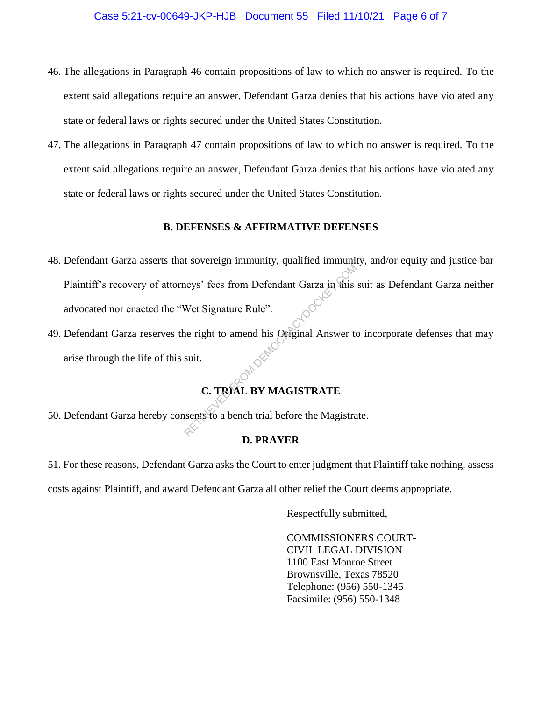- 46. The allegations in Paragraph 46 contain propositions of law to which no answer is required. To the extent said allegations require an answer, Defendant Garza denies that his actions have violated any state or federal laws or rights secured under the United States Constitution.
- 47. The allegations in Paragraph 47 contain propositions of law to which no answer is required. To the extent said allegations require an answer, Defendant Garza denies that his actions have violated any state or federal laws or rights secured under the United States Constitution.

# **B. DEFENSES & AFFIRMATIVE DEFENSES**

- 48. Defendant Garza asserts that sovereign immunity, qualified immunity, and/or equity and justice bar Plaintiff's recovery of attorneys' fees from Defendant Garza in this suit as Defendant Garza neither advocated nor enacted the "Wet Signature Rule". RETRIEVED FROM Defendant Garza in this<br>
Ret Signature Rule".<br>
Ret Signature Rule".<br>
RETRIEVED FROM AGISTRATE.<br>
C. TRIAL BY MAGISTRATE.
- 49. Defendant Garza reserves the right to amend his Original Answer to incorporate defenses that may arise through the life of this suit.

# **C. TRIAL BY MAGISTRATE**

50. Defendant Garza hereby consents to a bench trial before the Magistrate.

# **D. PRAYER**

51. For these reasons, Defendant Garza asks the Court to enter judgment that Plaintiff take nothing, assess costs against Plaintiff, and award Defendant Garza all other relief the Court deems appropriate.

Respectfully submitted,

COMMISSIONERS COURT-CIVIL LEGAL DIVISION 1100 East Monroe Street Brownsville, Texas 78520 Telephone: (956) 550-1345 Facsimile: (956) 550-1348